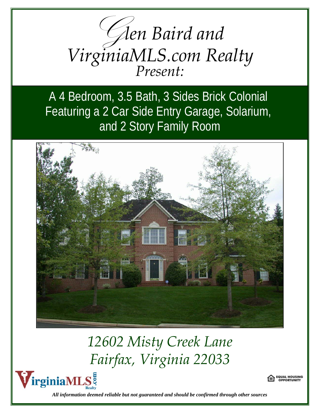

A 4 Bedroom, 3.5 Bath, 3 Sides Brick Colonial Featuring a 2 Car Side Entry Garage, Solarium, and 2 Story Family Room



## *12602 Misty Creek Lane Fairfax, Virginia 22033*





*All information deemed reliable but not guaranteed and should be confirmed through other sources*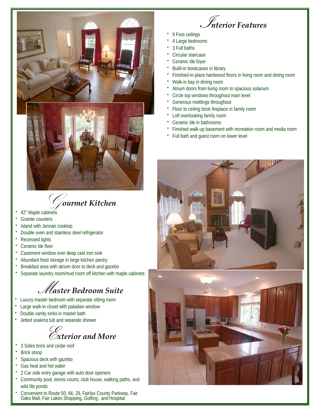

G*ourmet Kitchen*

- 42" Maple cabinets
- Granite counters
- Island with Jennair cooktop
- Double oven and stainless steel refrigerator
- Recessed lights
- Ceramic tile floor
- Casement window over deep cast iron sink
- x Abundant food storage in large kitchen pantry
- Breakfast area with atrium door to deck and gazebo
- Separate laundry room/mud room off kitchen with maple cabinets

## M*aster Bedroom Suite*

- Luxury master bedroom with separate sitting room
- Large walk-in closet with paladian window
- Double vanity sinks in master bath
- x Jetted soaking tub and separate shower



- 3 Sides brick and cedar roof
- Brick stoop
- Spacious deck with gazebo
- Gas heat and hot water
- 2 Car side entry garage with auto door openers
- Community pool, tennis courts, club house, walking paths, and wild life ponds
- x Convenient to Route 50, 66, 29, Fairfax County Parkway, Fair Oaks Mall, Fair Lakes Shopping, Golfing, and Hospital



- 9 Foot ceilings
- 4 Large bedrooms
- 3 Full baths
- Circular staircase
- Ceramic tile foyer
- Builit-in bookcases in library
- Finished-in-place hardwood floors in living room and dining room
- Walk-in bay in dining room
- Atrium doors from living room to spacious solarium
- Circle top windows throughout main level
- Generous moldings throughout
- Floor to ceiling brick fireplace in family room
- Loft overlooking family room
- Ceramic tile in bathrooms
- Finished walk-up basement with recreation room and media room
- Full bath and quest room on lower level

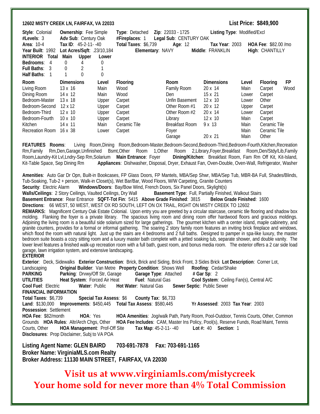## **12602 MISTY CREEK LN, FAIRFAX, VA 22033 List Price: \$849,900 Style**: Colonial **Ownership**: Fee Simple **Type**: Detached **Zip**: 22033 - 1725 **Listing Type**: Modified/Excl **#Levels**: 3 **Adv Sub**: Century Oak **#Fireplaces**: 1 **Legal Sub**: CENTURY OAK **Area**: 10-4 **Tax ID**: 45-2-11- -40 **Total Taxes**: \$6,739 **Age**: 12 **Tax Year**: 2003 **HOA Fee**: \$82.00 /mo **Year Built**: 1992 **Lot Acres/Sqft**: .23/10,184 **Elementary**: NAVY **Middle**: FRANKLIN **High**: CHANTILLY **INTERIOR Total Main Upper Lower Bedrooms**: 4 0 4 0 **Full Baths**: 3 0 2 1 **Half Baths:** 1 1 0 0 **Room Dimensions Level Flooring**  Living Room 13 x 16 Main Wood Dining Room 14 x 12 Main Wood Bedroom-Master 13 x 18 Upper Carpet Bedroom-Second 12 x 12 Upper Carpet Bedroom-Third 12 x 10 Upper Carpet Bedroom-Fourth 10 x 10 Upper Carpet Kitchen 14 x 11 Main Ceramic Tile Recreation Room 16 x 38 Lower Carpet **Room Dimensions Level Flooring FP** Family Room 20 x 14 Main Carpet Wood<br>
Den 15 x 21 Lower Carpet Den 15 x 21 Lower Unfin Basement 12 x 10 Lower Other Other Room #1 20 x 12 Upper Carpet Other Room #2 20 x 14 Lower Carpet Library 12 x 10 Main Carpet Breakfast Room 9 x 13 Main Ceramic Tile Fover **Main** Ceramic Tile

**FEATURES Rooms**: Living Room,Dining Room,Bedroom-Master,Bedroom-Second,Bedroom-Third,Bedroom-Fourth,Kitchen,Recreation Rm,Family Rm,Den,Garage,Unfinished Bsmt,Other Room 1,Other Room 2,Library,Foyer,Breakfast Room,Den/Stdy/Lib,Family<br>Room,Laundry-Kit\_Lvl,Lndry-Sep.Rm,Solarium Main Entrance: Foyer Dining/Kitchen: Breakfast-Room, Fam Rm Off Room,Laundry-Kit Lvl,Lndry-Sep Rm,Solarium Main Entrance: Foyer Kit-Table Space, Sep Dining Rm **Appliances**: Dishwasher, Disposal, Dryer, Exhaust Fan, Oven-Double, Oven-Wall, Refrigerator, Washer

**Amenities**: Auto Gar Dr Opn, Built-in Bookcases, FP Glass Doors, FP Mantels, MBA/Sep Shwr, MBA/Sep Tub, MBR-BA Full, Shades/Blinds, Tub-Soaking, Tub-2 + person, Walk-in Closet(s), Wet Bar/Bar, Wood Floors, W/W Carpeting, Granite Counters<br>Security: Electric Alarm Windows/Doors: Bay/Bow Wind, French Doors, Six Panel Doors, Skylight(s) Windows/Doors: Bay/Bow Wind, French Doors, Six Panel Doors, Skylight(s) Walls/Ceilings: 2 Story Ceilings, Vaulted Ceilings, Dry Wall **Basement Type**: Full, Partially Finished, Walkout Stairs **Basement Entrance**: Rear Entrance **SQFT-Tot Fin**: 5415 **Above Grade Finished**: 3815 **Below Grade Finished**: 1600 **Directions**: 66 WEST, 50 WEST, WEST OX RD SOUTH, LEFT ON OX TRAIL, RIGHT ON MISTY CREEK TO 12602 **REMARKS:** Magnificent Century Oak Estate Colonial. Upon entry you are greeted by a circular staircase, ceramic tile flooring and shadow box molding. Flanking the foyer is a private library. The spacious living room and dining room offer hardwood floors and gracious moldings. Adjoining the living room is a beautiful side solarium sized for large gatherings. The gourmet kitchen with a center island, maple cabinetry, and granite counters, provides for a formal or informal gathering. The soaring 2 story family room features an inviting brick fireplace and windows, which flood the room with natural light. Just up the stairs are 4 bedrooms and 2 full baths. Designed to pamper in spa-like luxury, the master bedroom suite boasts a cozy sitting room and a luxury master bath complete with a jetted soaking tub, separate shower, and double vanity. The lower level features a finished walk-up recreation room with a full bath, guest room, and bonus media room. The exterior offers a 2 car side load garage, lawn irrigation system, and extensive landscaping. **EXTERIOR**

**Exterior**: Deck, Sidewalks **Exterior Construction**: Brick, Brick and Siding, Brick Front, 3 Sides Brick **Lot Description**: Corner Lot, Landscaping **Original Builder**: Van Metre **Property Condition**: Shows Well **Roofing**: Cedar/Shake **PARKING Parking**: Drvwy/Off Str, Garage **Garage Type**: Attached **# Gar Sp**: 2 **UTILITIES Heat System**: Forced Air Heat **Fuel**: Natural Gas **Cool System**: Ceiling Fan(s), Central A/C **Cool Fuel**: Electric **Water**: Public **Hot Water**: Natural Gas **Sewer Septic**: Public Sewer **FINANCIAL INFORMATION Total Taxes**: \$6,739 **Special Tax Assess**: \$6 **County Tax**: \$6,733 **Land**: \$130,000 **Improvements**: \$450,445 **Total Tax Assess**: \$580,445 **Yr Assessed**: 2003 **Tax Year**: 2003 **Possession**: Settlement **HOA Fee**: \$82/month **HOA**: Yes **HOA Amenities**: Jog/walk Path, Party Room, Pool-Outdoor, Tennis Courts, Other, Common Grounds **HOA Rules**: Altr/Arch Chgs, Other **HOA Fee Includes**: CAM, Master Ins Policy, Pool(s), Reserve Funds, Road Maint, Tennis Courts, Other **HOA Management**: Prof-Off Site **Tax Map**: 45-2-11-40 **Disclosures**: Prop Disclaimer, Subj to VA POA

**Listing Agent Name: GLEN BAIRD 703-691-7878 Fax: 703-691-1165 Broker Name: VirginiaMLS.com Realty Broker Address: 11130 MAIN STREET, FAIRFAX, VA 22030** 

**Visit us at www.virginiamls.com/mistycreek Your home sold for never more than 4% Total Commission**

Garage 20 x 21 Main Other